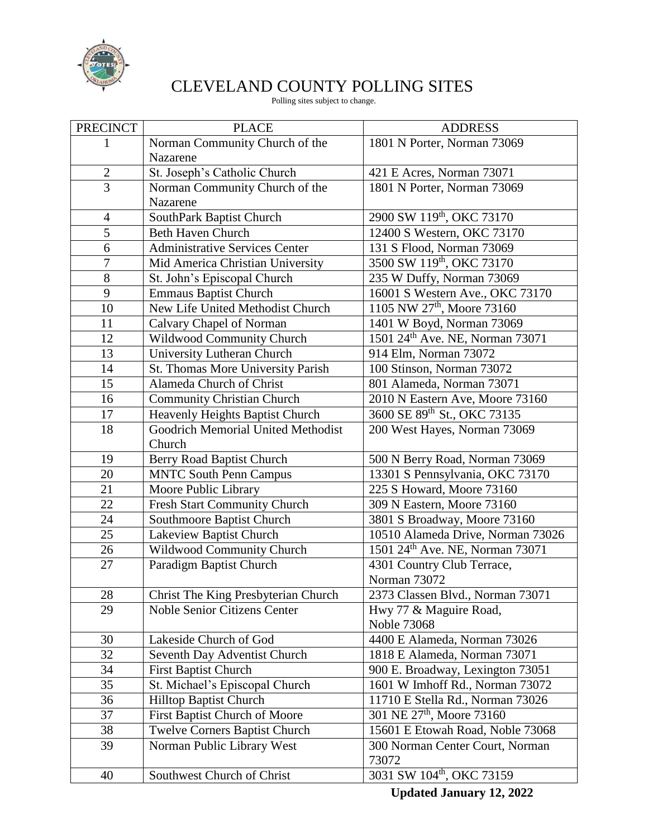

## CLEVELAND COUNTY POLLING SITES

Polling sites subject to change.

| <b>PRECINCT</b> | <b>PLACE</b>                          | <b>ADDRESS</b>                         |
|-----------------|---------------------------------------|----------------------------------------|
|                 | Norman Community Church of the        | 1801 N Porter, Norman 73069            |
|                 | Nazarene                              |                                        |
| $\sqrt{2}$      | St. Joseph's Catholic Church          | 421 E Acres, Norman 73071              |
| $\overline{3}$  | Norman Community Church of the        | 1801 N Porter, Norman 73069            |
|                 | Nazarene                              |                                        |
| $\overline{4}$  | SouthPark Baptist Church              | 2900 SW 119th, OKC 73170               |
| 5               | <b>Beth Haven Church</b>              | 12400 S Western, OKC 73170             |
| 6               | <b>Administrative Services Center</b> | 131 S Flood, Norman 73069              |
| $\overline{7}$  | Mid America Christian University      | 3500 SW 119th, OKC 73170               |
| 8               | St. John's Episcopal Church           | 235 W Duffy, Norman 73069              |
| 9               | <b>Emmaus Baptist Church</b>          | 16001 S Western Ave., OKC 73170        |
| 10              | New Life United Methodist Church      | 1105 NW 27 <sup>th</sup> , Moore 73160 |
| 11              | Calvary Chapel of Norman              | 1401 W Boyd, Norman 73069              |
| 12              | Wildwood Community Church             | 1501 24th Ave. NE, Norman 73071        |
| 13              | University Lutheran Church            | 914 Elm, Norman 73072                  |
| 14              | St. Thomas More University Parish     | 100 Stinson, Norman 73072              |
| 15              | Alameda Church of Christ              | 801 Alameda, Norman 73071              |
| 16              | <b>Community Christian Church</b>     | 2010 N Eastern Ave, Moore 73160        |
| 17              | Heavenly Heights Baptist Church       | 3600 SE 89th St., OKC 73135            |
| 18              | Goodrich Memorial United Methodist    | 200 West Hayes, Norman 73069           |
|                 | Church                                |                                        |
| 19              | Berry Road Baptist Church             | 500 N Berry Road, Norman 73069         |
| 20              | <b>MNTC South Penn Campus</b>         | 13301 S Pennsylvania, OKC 73170        |
| 21              | Moore Public Library                  | 225 S Howard, Moore 73160              |
| 22              | Fresh Start Community Church          | 309 N Eastern, Moore 73160             |
| 24              | Southmoore Baptist Church             | 3801 S Broadway, Moore 73160           |
| 25              | Lakeview Baptist Church               | 10510 Alameda Drive, Norman 73026      |
| 26              | Wildwood Community Church             | 1501 24th Ave. NE, Norman 73071        |
| 27              | Paradigm Baptist Church               | 4301 Country Club Terrace,             |
|                 |                                       | Norman 73072                           |
| 28              | Christ The King Presbyterian Church   | 2373 Classen Blvd., Norman 73071       |
| 29              | <b>Noble Senior Citizens Center</b>   | Hwy 77 & Maguire Road,                 |
|                 |                                       | Noble 73068                            |
| 30              | Lakeside Church of God                | 4400 E Alameda, Norman 73026           |
| 32              | Seventh Day Adventist Church          | 1818 E Alameda, Norman 73071           |
| 34              | <b>First Baptist Church</b>           | 900 E. Broadway, Lexington 73051       |
| 35              | St. Michael's Episcopal Church        | 1601 W Imhoff Rd., Norman 73072        |
| 36              | Hilltop Baptist Church                | 11710 E Stella Rd., Norman 73026       |
| 37              | First Baptist Church of Moore         | 301 NE 27th, Moore 73160               |
| 38              | <b>Twelve Corners Baptist Church</b>  | 15601 E Etowah Road, Noble 73068       |
| 39              | Norman Public Library West            | 300 Norman Center Court, Norman        |
|                 |                                       | 73072                                  |
| 40              | Southwest Church of Christ            | 3031 SW 104 <sup>th</sup> , OKC 73159  |

**Updated January 12, 2022**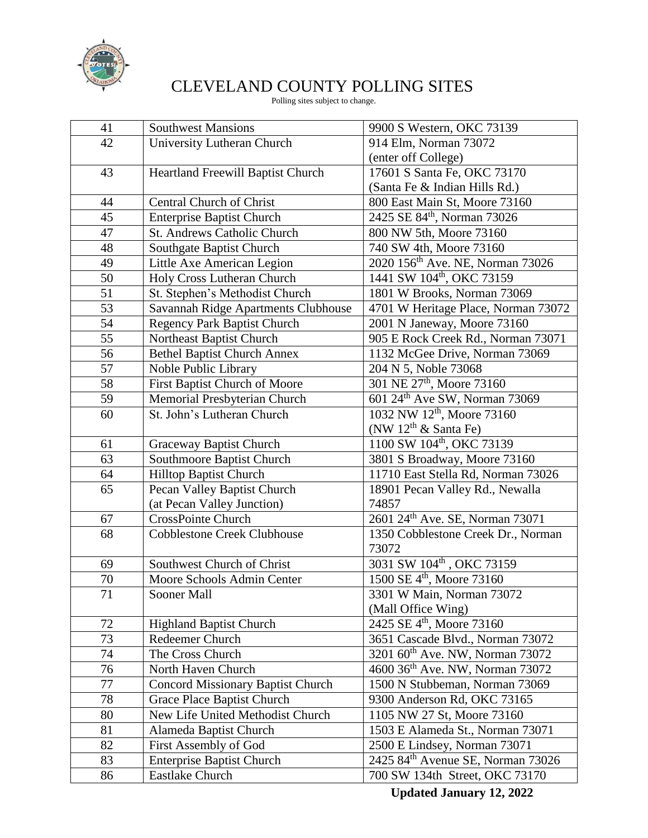

## CLEVELAND COUNTY POLLING SITES

Polling sites subject to change.

| 41              | <b>Southwest Mansions</b>                | 9900 S Western, OKC 73139                     |
|-----------------|------------------------------------------|-----------------------------------------------|
| 42              | University Lutheran Church               | 914 Elm, Norman 73072                         |
|                 |                                          | (enter off College)                           |
| 43              | Heartland Freewill Baptist Church        | 17601 S Santa Fe, OKC 73170                   |
|                 |                                          | (Santa Fe & Indian Hills Rd.)                 |
| 44              | <b>Central Church of Christ</b>          | 800 East Main St, Moore 73160                 |
| 45              | <b>Enterprise Baptist Church</b>         | 2425 SE 84 <sup>th</sup> , Norman 73026       |
| 47              | St. Andrews Catholic Church              | 800 NW 5th, Moore 73160                       |
| 48              | Southgate Baptist Church                 | 740 SW 4th, Moore 73160                       |
| 49              | Little Axe American Legion               | 2020 156 <sup>th</sup> Ave. NE, Norman 73026  |
| 50              | Holy Cross Lutheran Church               | 1441 SW 104 <sup>th</sup> , OKC 73159         |
| 51              | St. Stephen's Methodist Church           | 1801 W Brooks, Norman 73069                   |
| 53              | Savannah Ridge Apartments Clubhouse      | 4701 W Heritage Place, Norman 73072           |
| 54              | Regency Park Baptist Church              | 2001 N Janeway, Moore 73160                   |
| 55              | Northeast Baptist Church                 | 905 E Rock Creek Rd., Norman 73071            |
| 56              | <b>Bethel Baptist Church Annex</b>       | 1132 McGee Drive, Norman 73069                |
| 57              | Noble Public Library                     | 204 N 5, Noble 73068                          |
| 58              | First Baptist Church of Moore            | 301 NE 27th, Moore 73160                      |
| 59              | Memorial Presbyterian Church             | 601 24 <sup>th</sup> Ave SW, Norman 73069     |
| 60              | St. John's Lutheran Church               | 1032 NW 12 <sup>th</sup> , Moore 73160        |
|                 |                                          | (NW $12th$ & Santa Fe)                        |
| 61              | Graceway Baptist Church                  | 1100 SW 104 <sup>th</sup> , OKC 73139         |
| 63              | Southmoore Baptist Church                | 3801 S Broadway, Moore 73160                  |
| 64              | Hilltop Baptist Church                   | 11710 East Stella Rd, Norman 73026            |
| $\overline{65}$ | Pecan Valley Baptist Church              | 18901 Pecan Valley Rd., Newalla               |
|                 | (at Pecan Valley Junction)               | 74857                                         |
| 67              | <b>CrossPointe Church</b>                | 2601 24th Ave. SE, Norman 73071               |
| 68              | <b>Cobblestone Creek Clubhouse</b>       | 1350 Cobblestone Creek Dr., Norman            |
|                 |                                          | 73072                                         |
| 69              | Southwest Church of Christ               | 3031 SW 104 <sup>th</sup> , OKC 73159         |
| 70              | Moore Schools Admin Center               | 1500 SE 4 <sup>th</sup> , Moore 73160         |
| 71              | Sooner Mall                              | 3301 W Main, Norman 73072                     |
|                 |                                          | (Mall Office Wing)                            |
| 72              | <b>Highland Baptist Church</b>           | 2425 SE 4 <sup>th</sup> , Moore 73160         |
| 73              | Redeemer Church                          | 3651 Cascade Blvd., Norman 73072              |
| 74              | The Cross Church                         | 3201 60 <sup>th</sup> Ave. NW, Norman 73072   |
| 76              | North Haven Church                       | 4600 36 <sup>th</sup> Ave. NW, Norman 73072   |
| 77              | <b>Concord Missionary Baptist Church</b> | 1500 N Stubbeman, Norman 73069                |
| 78              | Grace Place Baptist Church               | 9300 Anderson Rd, OKC 73165                   |
| 80              | New Life United Methodist Church         | 1105 NW 27 St, Moore 73160                    |
| 81              | Alameda Baptist Church                   | 1503 E Alameda St., Norman 73071              |
| 82              | First Assembly of God                    | 2500 E Lindsey, Norman 73071                  |
| 83              | <b>Enterprise Baptist Church</b>         | 2425 84 <sup>th</sup> Avenue SE, Norman 73026 |
| 86              | Eastlake Church                          | 700 SW 134th Street, OKC 73170                |
|                 |                                          |                                               |

**Updated January 12, 2022**